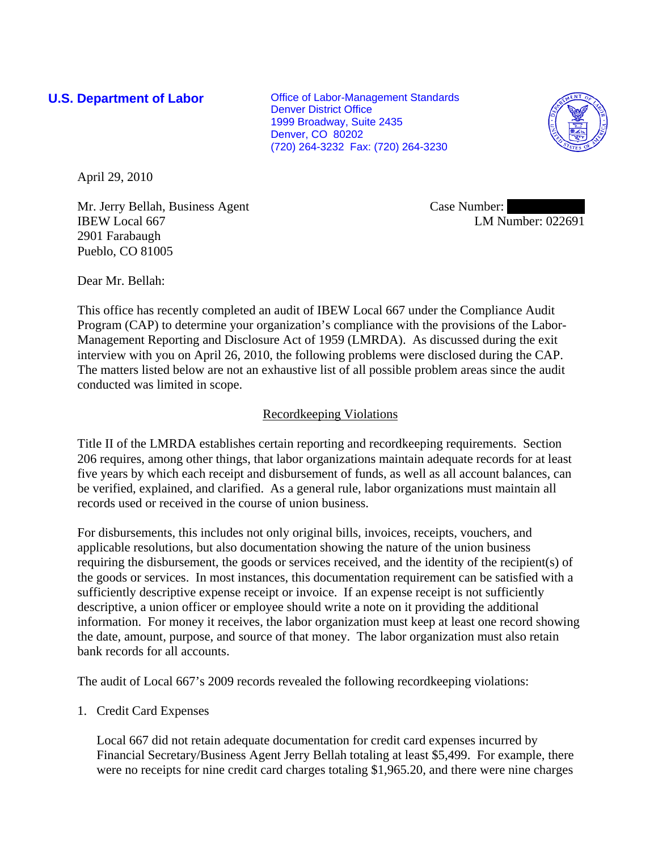**U.S. Department of Labor Conservative Conservative Conservative Conservative Conservative Conservative Conservative Conservative Conservative Conservative Conservative Conservative Conservative Conservative Conservative** Denver District Office 1999 Broadway, Suite 2435 Denver, CO 80202 (720) 264-3232 Fax: (720) 264-3230



April 29, 2010

Mr. Jerry Bellah, Business Agent IBEW Local 667 2901 Farabaugh Pueblo, CO 81005

Case Number: LM Number: 022691

Dear Mr. Bellah:

This office has recently completed an audit of IBEW Local 667 under the Compliance Audit Program (CAP) to determine your organization's compliance with the provisions of the Labor-Management Reporting and Disclosure Act of 1959 (LMRDA). As discussed during the exit interview with you on April 26, 2010, the following problems were disclosed during the CAP. The matters listed below are not an exhaustive list of all possible problem areas since the audit conducted was limited in scope.

# Recordkeeping Violations

Title II of the LMRDA establishes certain reporting and recordkeeping requirements. Section 206 requires, among other things, that labor organizations maintain adequate records for at least five years by which each receipt and disbursement of funds, as well as all account balances, can be verified, explained, and clarified. As a general rule, labor organizations must maintain all records used or received in the course of union business.

For disbursements, this includes not only original bills, invoices, receipts, vouchers, and applicable resolutions, but also documentation showing the nature of the union business requiring the disbursement, the goods or services received, and the identity of the recipient(s) of the goods or services. In most instances, this documentation requirement can be satisfied with a sufficiently descriptive expense receipt or invoice. If an expense receipt is not sufficiently descriptive, a union officer or employee should write a note on it providing the additional information. For money it receives, the labor organization must keep at least one record showing the date, amount, purpose, and source of that money. The labor organization must also retain bank records for all accounts.

The audit of Local 667's 2009 records revealed the following recordkeeping violations:

1. Credit Card Expenses

Local 667 did not retain adequate documentation for credit card expenses incurred by Financial Secretary/Business Agent Jerry Bellah totaling at least \$5,499. For example, there were no receipts for nine credit card charges totaling \$1,965.20, and there were nine charges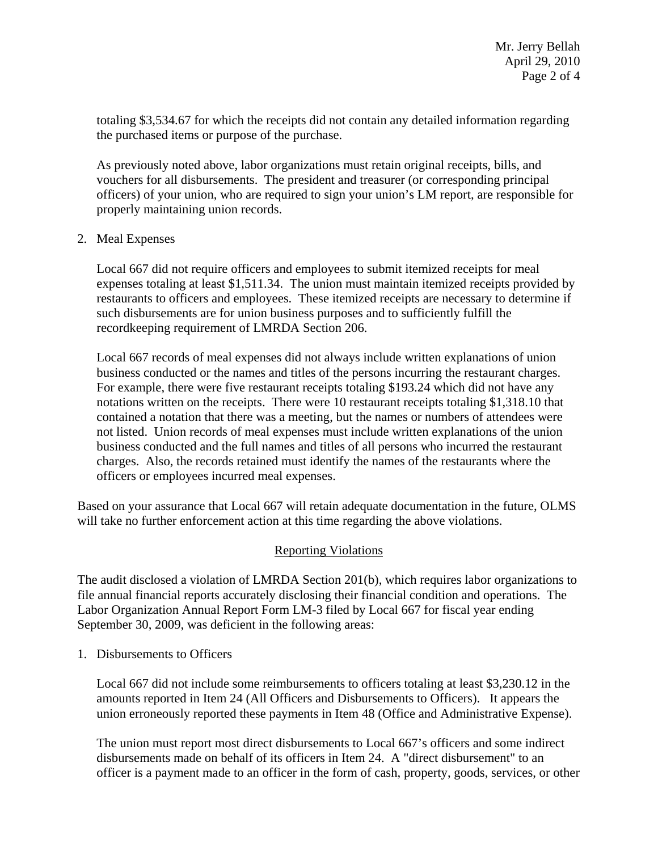totaling \$3,534.67 for which the receipts did not contain any detailed information regarding the purchased items or purpose of the purchase.

As previously noted above, labor organizations must retain original receipts, bills, and vouchers for all disbursements. The president and treasurer (or corresponding principal officers) of your union, who are required to sign your union's LM report, are responsible for properly maintaining union records.

#### 2. Meal Expenses

Local 667 did not require officers and employees to submit itemized receipts for meal expenses totaling at least \$1,511.34. The union must maintain itemized receipts provided by restaurants to officers and employees. These itemized receipts are necessary to determine if such disbursements are for union business purposes and to sufficiently fulfill the recordkeeping requirement of LMRDA Section 206.

Local 667 records of meal expenses did not always include written explanations of union business conducted or the names and titles of the persons incurring the restaurant charges. For example, there were five restaurant receipts totaling \$193.24 which did not have any notations written on the receipts. There were 10 restaurant receipts totaling \$1,318.10 that contained a notation that there was a meeting, but the names or numbers of attendees were not listed. Union records of meal expenses must include written explanations of the union business conducted and the full names and titles of all persons who incurred the restaurant charges. Also, the records retained must identify the names of the restaurants where the officers or employees incurred meal expenses.

Based on your assurance that Local 667 will retain adequate documentation in the future, OLMS will take no further enforcement action at this time regarding the above violations.

## Reporting Violations

The audit disclosed a violation of LMRDA Section 201(b), which requires labor organizations to file annual financial reports accurately disclosing their financial condition and operations. The Labor Organization Annual Report Form LM-3 filed by Local 667 for fiscal year ending September 30, 2009, was deficient in the following areas:

1. Disbursements to Officers

Local 667 did not include some reimbursements to officers totaling at least \$3,230.12 in the amounts reported in Item 24 (All Officers and Disbursements to Officers). It appears the union erroneously reported these payments in Item 48 (Office and Administrative Expense).

The union must report most direct disbursements to Local 667's officers and some indirect disbursements made on behalf of its officers in Item 24. A "direct disbursement" to an officer is a payment made to an officer in the form of cash, property, goods, services, or other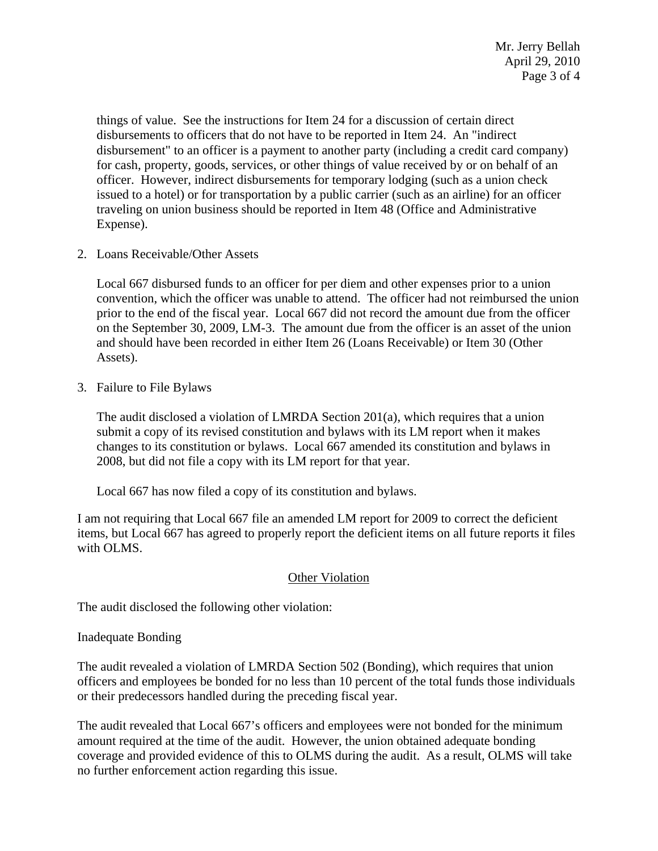things of value. See the instructions for Item 24 for a discussion of certain direct disbursements to officers that do not have to be reported in Item 24. An "indirect disbursement" to an officer is a payment to another party (including a credit card company) for cash, property, goods, services, or other things of value received by or on behalf of an officer. However, indirect disbursements for temporary lodging (such as a union check issued to a hotel) or for transportation by a public carrier (such as an airline) for an officer traveling on union business should be reported in Item 48 (Office and Administrative Expense).

2. Loans Receivable/Other Assets

Local 667 disbursed funds to an officer for per diem and other expenses prior to a union convention, which the officer was unable to attend. The officer had not reimbursed the union prior to the end of the fiscal year. Local 667 did not record the amount due from the officer on the September 30, 2009, LM-3. The amount due from the officer is an asset of the union and should have been recorded in either Item 26 (Loans Receivable) or Item 30 (Other Assets).

3. Failure to File Bylaws

The audit disclosed a violation of LMRDA Section 201(a), which requires that a union submit a copy of its revised constitution and bylaws with its LM report when it makes changes to its constitution or bylaws. Local 667 amended its constitution and bylaws in 2008, but did not file a copy with its LM report for that year.

Local 667 has now filed a copy of its constitution and bylaws.

I am not requiring that Local 667 file an amended LM report for 2009 to correct the deficient items, but Local 667 has agreed to properly report the deficient items on all future reports it files with OLMS.

## **Other Violation**

The audit disclosed the following other violation:

#### Inadequate Bonding

The audit revealed a violation of LMRDA Section 502 (Bonding), which requires that union officers and employees be bonded for no less than 10 percent of the total funds those individuals or their predecessors handled during the preceding fiscal year.

The audit revealed that Local 667's officers and employees were not bonded for the minimum amount required at the time of the audit. However, the union obtained adequate bonding coverage and provided evidence of this to OLMS during the audit. As a result, OLMS will take no further enforcement action regarding this issue.